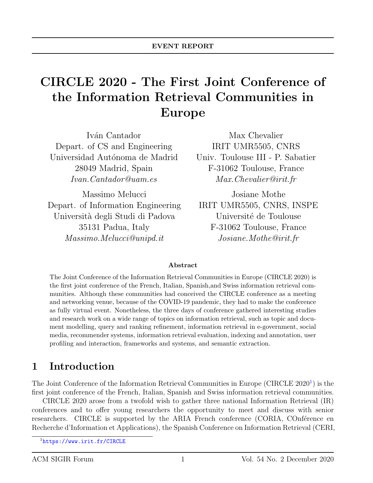# CIRCLE 2020 - The First Joint Conference of the Information Retrieval Communities in Europe

Iván Cantador Depart. of CS and Engineering Universidad Autónoma de Madrid 28049 Madrid, Spain Ivan.Cantador@uam.es

Massimo Melucci Depart. of Information Engineering Universit`a degli Studi di Padova 35131 Padua, Italy Massimo.Melucci@unipd.it

Max Chevalier IRIT UMR5505, CNRS Univ. Toulouse III - P. Sabatier F-31062 Toulouse, France Max.Chevalier@irit.fr

Josiane Mothe IRIT UMR5505, CNRS, INSPE Université de Toulouse F-31062 Toulouse, France Josiane.Mothe@irit.fr

#### Abstract

The Joint Conference of the Information Retrieval Communities in Europe (CIRCLE 2020) is the first joint conference of the French, Italian, Spanish,and Swiss information retrieval communities. Although these communities had conceived the CIRCLE conference as a meeting and networking venue, because of the COVID-19 pandemic, they had to make the conference as fully virtual event. Nonetheless, the three days of conference gathered interesting studies and research work on a wide range of topics on information retrieval, such as topic and document modelling, query and ranking refinement, information retrieval in e-government, social media, recommender systems, information retrieval evaluation, indexing and annotation, user profiling and interaction, frameworks and systems, and semantic extraction.

#### 1 Introduction

The Joint Conference of the Information Retrieval Communities in Europe (CIRCLE 2020<sup>[1](#page-0-0)</sup>) is the first joint conference of the French, Italian, Spanish and Swiss information retrieval communities.

CIRCLE 2020 arose from a twofold wish to gather three national Information Retrieval (IR) conferences and to offer young researchers the opportunity to meet and discuss with senior researchers. CIRCLE is supported by the ARIA French conference (CORIA, COnférence en Recherche d'Information et Applications), the Spanish Conference on Information Retrieval (CERI,

<span id="page-0-0"></span><sup>1</sup><https://www.irit.fr/CIRCLE>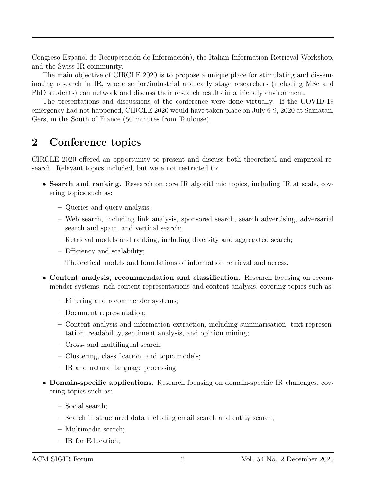Congreso Español de Recuperación de Información), the Italian Information Retrieval Workshop, and the Swiss IR community.

The main objective of CIRCLE 2020 is to propose a unique place for stimulating and disseminating research in IR, where senior/industrial and early stage researchers (including MSc and PhD students) can network and discuss their research results in a friendly environment.

The presentations and discussions of the conference were done virtually. If the COVID-19 emergency had not happened, CIRCLE 2020 would have taken place on July 6-9, 2020 at Samatan, Gers, in the South of France (50 minutes from Toulouse).

#### 2 Conference topics

CIRCLE 2020 offered an opportunity to present and discuss both theoretical and empirical research. Relevant topics included, but were not restricted to:

- Search and ranking. Research on core IR algorithmic topics, including IR at scale, covering topics such as:
	- Queries and query analysis;
	- Web search, including link analysis, sponsored search, search advertising, adversarial search and spam, and vertical search;
	- Retrieval models and ranking, including diversity and aggregated search;
	- Efficiency and scalability;
	- Theoretical models and foundations of information retrieval and access.
- Content analysis, recommendation and classification. Research focusing on recommender systems, rich content representations and content analysis, covering topics such as:
	- Filtering and recommender systems;
	- Document representation;
	- Content analysis and information extraction, including summarisation, text representation, readability, sentiment analysis, and opinion mining;
	- Cross- and multilingual search;
	- Clustering, classification, and topic models;
	- IR and natural language processing.
- Domain-specific applications. Research focusing on domain-specific IR challenges, covering topics such as:
	- Social search;
	- Search in structured data including email search and entity search;
	- Multimedia search;
	- IR for Education;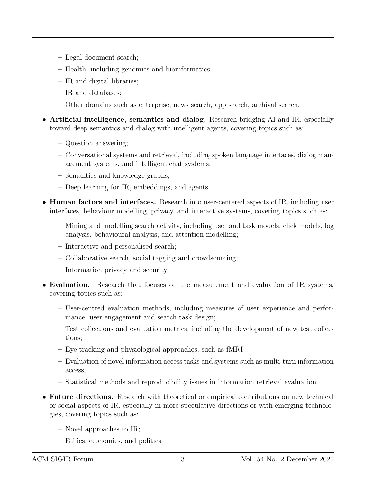- Legal document search;
- Health, including genomics and bioinformatics;
- IR and digital libraries;
- IR and databases;
- Other domains such as enterprise, news search, app search, archival search.
- Artificial intelligence, semantics and dialog. Research bridging AI and IR, especially toward deep semantics and dialog with intelligent agents, covering topics such as:
	- Question answering;
	- Conversational systems and retrieval, including spoken language interfaces, dialog management systems, and intelligent chat systems;
	- Semantics and knowledge graphs;
	- Deep learning for IR, embeddings, and agents.
- Human factors and interfaces. Research into user-centered aspects of IR, including user interfaces, behaviour modelling, privacy, and interactive systems, covering topics such as:
	- Mining and modelling search activity, including user and task models, click models, log analysis, behavioural analysis, and attention modelling;
	- Interactive and personalised search;
	- Collaborative search, social tagging and crowdsourcing;
	- Information privacy and security.
- Evaluation. Research that focuses on the measurement and evaluation of IR systems, covering topics such as:
	- User-centred evaluation methods, including measures of user experience and performance, user engagement and search task design;
	- Test collections and evaluation metrics, including the development of new test collections;
	- Eye-tracking and physiological approaches, such as fMRI
	- Evaluation of novel information access tasks and systems such as multi-turn information access;
	- Statistical methods and reproducibility issues in information retrieval evaluation.
- Future directions. Research with theoretical or empirical contributions on new technical or social aspects of IR, especially in more speculative directions or with emerging technologies, covering topics such as:
	- Novel approaches to IR;
	- Ethics, economics, and politics;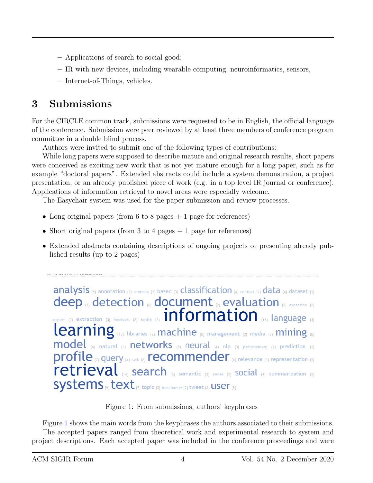- Applications of search to social good;
- IR with new devices, including wearable computing, neuroinformatics, sensors,
- Internet-of-Things, vehicles.

## 3 Submissions

For the CIRCLE common track, submissions were requested to be in English, the official language of the conference. Submission were peer reviewed by at least three members of conference program committee in a double blind process.

Authors were invited to submit one of the following types of contributions:

While long papers were supposed to describe mature and original research results, short papers were conceived as exciting new work that is not yet mature enough for a long paper, such as for example "doctoral papers". Extended abstracts could include a system demonstration, a project presentation, or an already published piece of work (e.g. in a top level IR journal or conference). Applications of information retrieval to novel areas were especially welcome.

The Easychair system was used for the paper submission and review processes.

- Long original papers (from 6 to 8 pages  $+1$  page for references)
- Short original papers (from 3 to 4 pages  $+1$  page for references)
- Extended abstracts containing descriptions of ongoing projects or presenting already published results (up to 2 pages)

analysis (5) annotation (3) anorexia (2) based (3) Classification (4) context (2) data (4) dataset (3) deep  $_{(7)}$  detection  $_{(6)}$  document  $_{(7)}$  evaluation  $_{(6)}$  expansion (2) expert (2) extraction (3) feedback (2) health (2)  $\prod_{i \in \mathbb{N}} \prod_{i \in \mathbb{N}}$ Learning (15) libraries (3) machine (5) management (3) media (3) mining (5)  $\text{model}_{(6)}$  natural (3) networks (5) neural (4) nlp (3) parliamentary (2) prediction (3) profile (7) query (4) rank (2) recommender (8) relevance (3) representation (3) retrieval  $\left\{ \right\}$  search  $\left\{ \right\}$  semantic (3) series (2) SOCIal  $\left\{ \right\}$  summarization (3) Systems (9) text (7) topic (3) transformer (2) tweet (3) USer (5)

<span id="page-3-0"></span>Figure 1: From submissions, authors' keyphrases

Figure [1](#page-3-0) shows the main words from the keyphrases the authors associated to their submissions. The accepted papers ranged from theoretical work and experimental research to system and project descriptions. Each accepted paper was included in the conference proceedings and were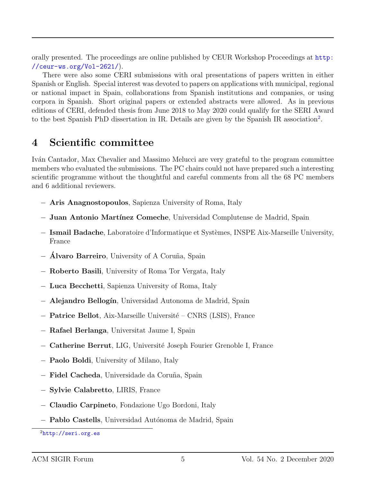orally presented. The proceedings are online published by CEUR Workshop Proceedings at [http:](http://ceur-ws.org/Vol-2621/) [//ceur-ws.org/Vol-2621/](http://ceur-ws.org/Vol-2621/)).

There were also some CERI submissions with oral presentations of papers written in either Spanish or English. Special interest was devoted to papers on applications with municipal, regional or national impact in Spain, collaborations from Spanish institutions and companies, or using corpora in Spanish. Short original papers or extended abstracts were allowed. As in previous editions of CERI, defended thesis from June 2018 to May 2020 could qualify for the SERI Award to the best Spanish PhD dissertation in IR. Details are given by the Spanish IR association<sup>[2](#page-4-0)</sup>.

#### 4 Scientific committee

Iván Cantador, Max Chevalier and Massimo Melucci are very grateful to the program committee members who evaluated the submissions. The PC chairs could not have prepared such a interesting scientific programme without the thoughtful and careful comments from all the 68 PC members and 6 additional reviewers.

- − Aris Anagnostopoulos, Sapienza University of Roma, Italy
- − Juan Antonio Mart´ınez Comeche, Universidad Complutense de Madrid, Spain
- − Ismail Badache, Laboratoire d'Informatique et Syst`emes, INSPE Aix-Marseille University, France
- − Álvaro Barreiro, University of A Coruña, Spain
- − Roberto Basili, University of Roma Tor Vergata, Italy
- − Luca Becchetti, Sapienza University of Roma, Italy
- − Alejandro Bellogín, Universidad Autonoma de Madrid, Spain
- − Patrice Bellot, Aix-Marseille Universit´e CNRS (LSIS), France
- − Rafael Berlanga, Universitat Jaume I, Spain
- − Catherine Berrut, LIG, Universit´e Joseph Fourier Grenoble I, France
- − Paolo Boldi, University of Milano, Italy
- − Fidel Cacheda, Universidade da Coru˜na, Spain
- − Sylvie Calabretto, LIRIS, France
- − Claudio Carpineto, Fondazione Ugo Bordoni, Italy
- − **Pablo Castells**, Universidad Autónoma de Madrid, Spain

<span id="page-4-0"></span> $^{2}$ <http://seri.org.es>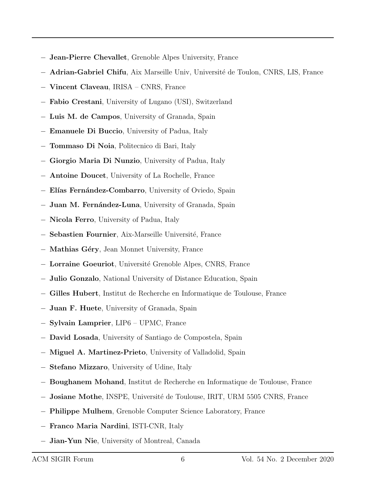- − Jean-Pierre Chevallet, Grenoble Alpes University, France
- − Adrian-Gabriel Chifu, Aix Marseille Univ, Université de Toulon, CNRS, LIS, France
- − Vincent Claveau, IRISA CNRS, France
- − Fabio Crestani, University of Lugano (USI), Switzerland
- − Luis M. de Campos, University of Granada, Spain
- − Emanuele Di Buccio, University of Padua, Italy
- − Tommaso Di Noia, Politecnico di Bari, Italy
- − Giorgio Maria Di Nunzio, University of Padua, Italy
- − Antoine Doucet, University of La Rochelle, France
- − Elías Fernández-Combarro, University of Oviedo, Spain
- − Juan M. Fernández-Luna, University of Granada, Spain
- − Nicola Ferro, University of Padua, Italy
- − Sebastien Fournier, Aix-Marseille Universit´e, France
- − Mathias G´ery, Jean Monnet University, France
- − Lorraine Goeuriot, Universit´e Grenoble Alpes, CNRS, France
- − Julio Gonzalo, National University of Distance Education, Spain
- − Gilles Hubert, Institut de Recherche en Informatique de Toulouse, France
- − Juan F. Huete, University of Granada, Spain
- − Sylvain Lamprier, LIP6 UPMC, France
- − David Losada, University of Santiago de Compostela, Spain
- − Miguel A. Martinez-Prieto, University of Valladolid, Spain
- − Stefano Mizzaro, University of Udine, Italy
- − Boughanem Mohand, Institut de Recherche en Informatique de Toulouse, France
- − Josiane Mothe, INSPE, Universit´e de Toulouse, IRIT, URM 5505 CNRS, France
- − Philippe Mulhem, Grenoble Computer Science Laboratory, France
- − Franco Maria Nardini, ISTI-CNR, Italy
- − Jian-Yun Nie, University of Montreal, Canada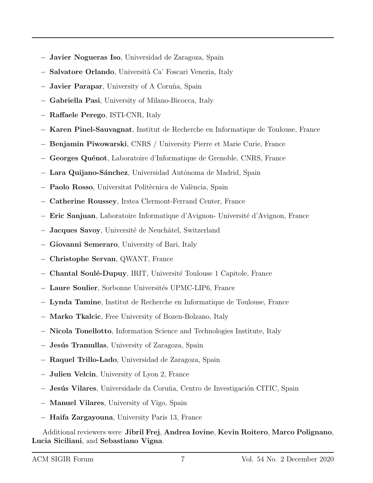- − Javier Nogueras Iso, Universidad de Zaragoza, Spain
- − Salvatore Orlando, Universit`a Ca' Foscari Venezia, Italy
- − Javier Parapar, University of A Coru˜na, Spain
- − Gabriella Pasi, University of Milano-Bicocca, Italy
- − Raffaele Perego, ISTI-CNR, Italy
- − Karen Pinel-Sauvagnat, Institut de Recherche en Informatique de Toulouse, France
- − Benjamin Piwowarski, CNRS / University Pierre et Marie Curie, France
- − Georges Quénot, Laboratoire d'Informatique de Grenoble, CNRS, France
- − Lara Quijano-Sánchez, Universidad Autónoma de Madrid, Spain
- − **Paolo Rosso**, Universitat Politècnica de València, Spain
- − Catherine Roussey, Irstea Clermont-Ferrand Center, France
- − Eric Sanjuan, Laboratoire Informatique d'Avignon- Universit´e d'Avignon, France
- − Jacques Savoy, Université de Neuchâtel, Switzerland
- − Giovanni Semeraro, University of Bari, Italy
- − Christophe Servan, QWANT, France
- − Chantal Soul´e-Dupuy, IRIT, Universit´e Toulouse 1 Capitole, France
- − Laure Soulier, Sorbonne Universit´es UPMC-LIP6, France
- − Lynda Tamine, Institut de Recherche en Informatique de Toulouse, France
- − Marko Tkalcic, Free University of Bozen-Bolzano, Italy
- − Nicola Tonellotto, Information Science and Technologies Institute, Italy
- − Jesús Tramullas, University of Zaragoza, Spain
- − Raquel Trillo-Lado, Universidad de Zaragoza, Spain
- − Julien Velcin, University of Lyon 2, France
- − Jesús Vilares, Universidade da Coruña, Centro de Investigación CITIC, Spain
- − Manuel Vilares, University of Vigo, Spain
- − Haifa Zargayouna, University Paris 13, France

Additional reviewers were Jibril Frej, Andrea Iovine, Kevin Roitero, Marco Polignano, Lucia Siciliani, and Sebastiano Vigna.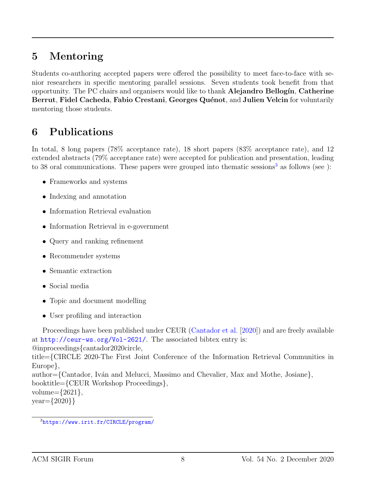## 5 Mentoring

Students co-authoring accepted papers were offered the possibility to meet face-to-face with senior researchers in specific mentoring parallel sessions. Seven students took benefit from that opportunity. The PC chairs and organisers would like to thank **Alejandro Bellogín**, Catherine Berrut, Fidel Cacheda, Fabio Crestani, Georges Quénot, and Julien Velcin for voluntarily mentoring those students.

## 6 Publications

In total, 8 long papers (78% acceptance rate), 18 short papers (83% acceptance rate), and 12 extended abstracts (79% acceptance rate) were accepted for publication and presentation, leading to [3](#page-7-0)8 oral communications. These papers were grouped into thematic sessions<sup>3</sup> as follows (see ):

- Frameworks and systems
- Indexing and annotation
- Information Retrieval evaluation
- Information Retrieval in e-government
- Query and ranking refinement
- Recommender systems
- Semantic extraction
- Social media
- Topic and document modelling
- User profiling and interaction

Proceedings have been published under CEUR [\(Cantador et al.](#page-8-0) [\[2020\]](#page-8-0)) and are freely available at <http://ceur-ws.org/Vol-2621/>. The associated bibtex entry is:

@inproceedings{cantador2020circle,

title={CIRCLE 2020-The First Joint Conference of the Information Retrieval Communities in Europe},

author={Cantador, Iván and Melucci, Massimo and Chevalier, Max and Mothe, Josiane}, booktitle={CEUR Workshop Proceedings}, volume= $\{2621\},\$ 

year={2020}}

<span id="page-7-0"></span><sup>3</sup><https://www.irit.fr/CIRCLE/program/>